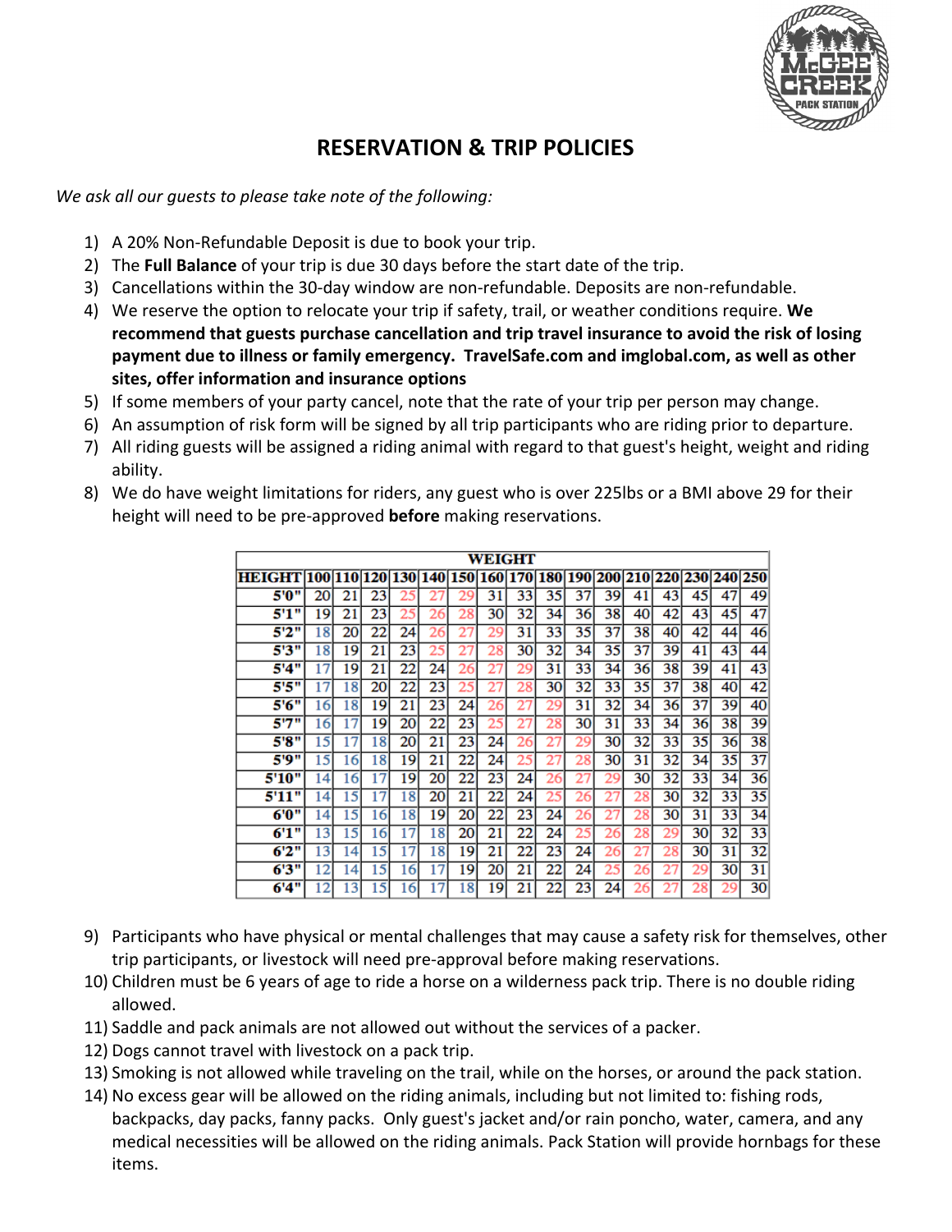

# **RESERVATION & TRIP POLICIES**

*We ask all our guests to please take note of the following:*

- 1) A 20% Non-Refundable Deposit is due to book your trip.
- 2) The **Full Balance** of your trip is due 30 days before the start date of the trip.
- 3) Cancellations within the 30-day window are non-refundable. Deposits are non-refundable.
- 4) We reserve the option to relocate your trip if safety, trail, or weather conditions require. **We recommend that guests purchase cancellation and trip travel insurance to avoid the risk of losing payment due to illness or family emergency. TravelSafe.com and imglobal.com, as well as other sites, offer information and insurance options**
- 5) If some members of your party cancel, note that the rate of your trip per person may change.
- 6) An assumption of risk form will be signed by all trip participants who are riding prior to departure.
- 7) All riding guests will be assigned a riding animal with regard to that guest's height, weight and riding ability.
- 8) We do have weight limitations for riders, any guest who is over 225lbs or a BMI above 29 for their height will need to be pre-approved **before** making reservations.

|                            |    |    |    |    |    |    | WEIGHT      |    |    |    |    |    |    |    |                                 |    |
|----------------------------|----|----|----|----|----|----|-------------|----|----|----|----|----|----|----|---------------------------------|----|
| HEIGHT 100 110 120 130 140 |    |    |    |    |    |    | 150 160 170 |    |    |    |    |    |    |    | 180 190 200 210 220 230 240 250 |    |
| 5'0"                       | 20 | 21 | 23 | 25 | 21 | 29 | 31          | 33 | 35 | 37 | 39 | 41 | 43 | 45 | 47                              | 49 |
| 5'1"                       | 19 | 21 | 23 | 25 | 26 | 28 | 30          | 32 | 34 | 36 | 38 | 40 | 42 | 43 | 45                              | 47 |
| 5'2"                       | 18 | 20 | 22 | 24 | 26 | 21 | 29          | 31 | 33 | 35 | 37 | 38 | 40 | 42 | 44                              | 46 |
| 5'3"                       | 18 | 19 | 21 | 23 | 25 | 27 | 28          | 30 | 32 | 34 | 35 | 37 | 39 | 41 | 43                              | 44 |
| 5'4"                       | 17 | 19 | 21 | 22 | 24 | 26 | 27          | 29 | 31 | 33 | 34 | 36 | 38 | 39 | 41                              | 43 |
| 5'5"                       | 17 | 18 | 20 | 22 | 23 | 25 | 27          | 28 | 30 | 32 | 33 | 35 | 37 | 38 | 40                              | 42 |
| 5'6"                       | 16 | 18 | 19 | 21 | 23 | 24 | 26          | 27 | 29 | 31 | 32 | 34 | 36 | 37 | 39                              | 40 |
| 5"7"                       | 16 | 17 | 19 | 20 | 22 | 23 | 25          | 27 | 28 | 30 | 31 | 33 | 34 | 36 | 38                              | 39 |
| 5'8"                       | 15 | 17 | 18 | 20 | 21 | 23 | 24          | 26 | 27 | 29 | 30 | 32 | 33 | 35 | 36                              | 38 |
| 5'9"                       | 15 | 16 | 18 | 19 | 21 | 22 | 24          | 25 | 27 | 28 | 30 | 31 | 32 | 34 | 35                              | 37 |
| 5'10"                      | 14 | 16 | 17 | 19 | 20 | 22 | 23          | 24 | 26 | 27 | 29 | 30 | 32 | 33 | 34                              | 36 |
| 99<br>5'11                 | 14 | 15 | 17 | 18 | 20 | 21 | 22          | 24 | 25 | 26 | 27 | 28 | 30 | 32 | 33                              | 35 |
| 6'0"                       | 14 | 15 | 16 | 18 | 19 | 20 | 22          | 23 | 24 | 26 | 27 | 28 | 30 | 31 | 33                              | 34 |
| 6'1"                       | 13 | 15 | 16 | 17 | 18 | 20 | 21          | 22 | 24 | 25 | 26 | 28 | 29 | 30 | 32                              | 33 |
| 6'2''                      | 13 | 14 | 15 | 17 | 18 | 19 | 21          | 22 | 23 | 24 | 26 | 27 | 28 | 30 | 31                              | 32 |
| 6'3"                       | 12 | 14 | 15 | 16 | 17 | 19 | 20          | 21 | 22 | 24 | 25 | 26 | 27 | 29 | 30                              | 31 |
| 6'4"                       | 12 | 13 | 15 | 16 |    | 18 | 19          | 21 | 22 | 23 | 24 |    |    | 28 | 29                              | 30 |

- 9) Participants who have physical or mental challenges that may cause a safety risk for themselves, other trip participants, or livestock will need pre-approval before making reservations.
- 10) Children must be 6 years of age to ride a horse on a wilderness pack trip. There is no double riding allowed.
- 11) Saddle and pack animals are not allowed out without the services of a packer.
- 12) Dogs cannot travel with livestock on a pack trip.
- 13) Smoking is not allowed while traveling on the trail, while on the horses, or around the pack station.
- 14) No excess gear will be allowed on the riding animals, including but not limited to: fishing rods, backpacks, day packs, fanny packs. Only guest's jacket and/or rain poncho, water, camera, and any medical necessities will be allowed on the riding animals. Pack Station will provide hornbags for these items.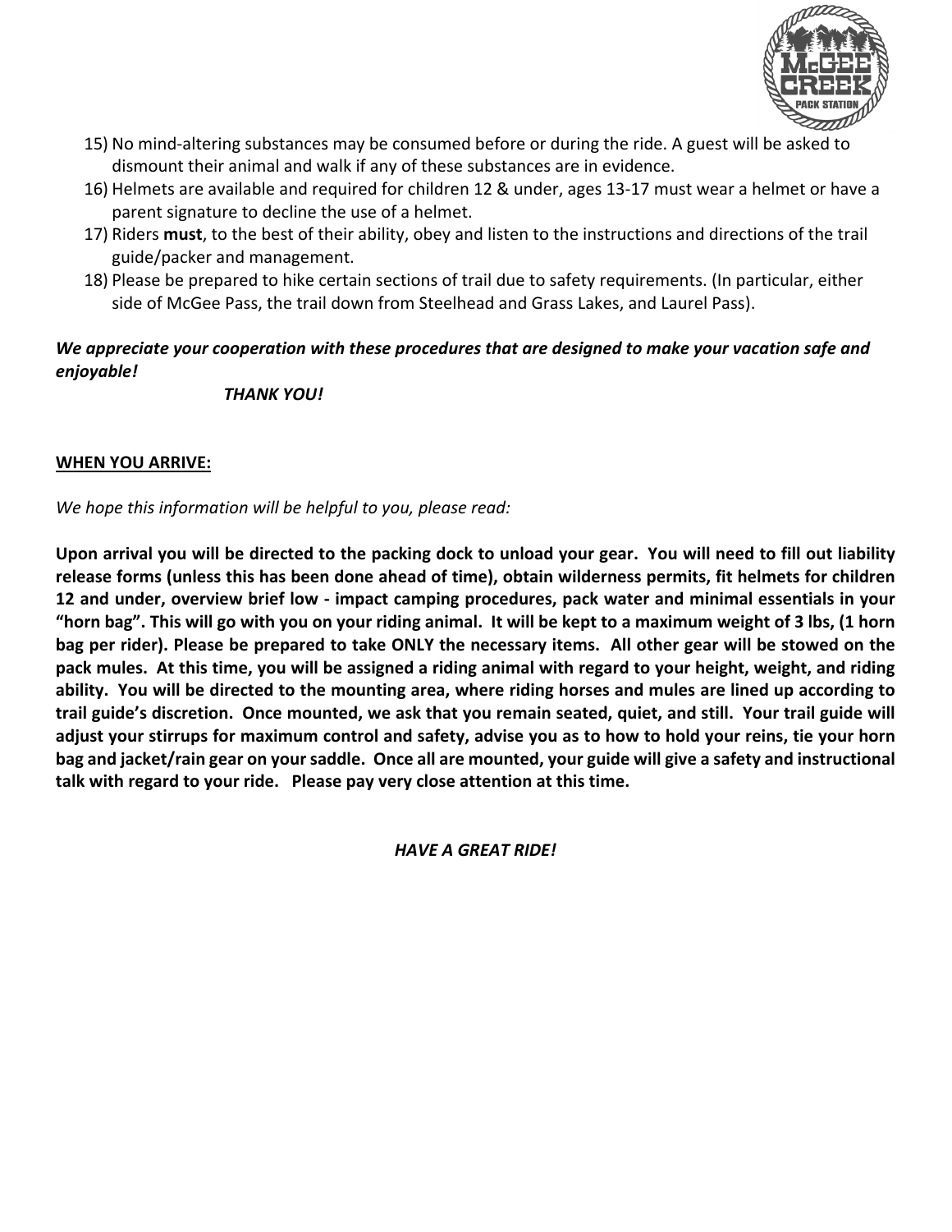

- 15) No mind-altering substances may be consumed before or during the ride. A guest will be asked to dismount their animal and walk if any of these substances are in evidence.
- 16) Helmets are available and required for children 12 & under, ages 13-17 must wear a helmet or have a parent signature to decline the use of a helmet.
- 17) Riders **must**, to the best of their ability, obey and listen to the instructions and directions of the trail guide/packer and management.
- 18) Please be prepared to hike certain sections of trail due to safety requirements. (In particular, either side of McGee Pass, the trail down from Steelhead and Grass Lakes, and Laurel Pass).

### *We appreciate your cooperation with these procedures that are designed to make your vacation safe and enjoyable!*

*THANK YOU!*

### **WHEN YOU ARRIVE:**

*We hope this information will be helpful to you, please read:*

**Upon arrival you will be directed to the packing dock to unload your gear. You will need to fill out liability release forms (unless this has been done ahead of time), obtain wilderness permits, fit helmets for children 12 and under, overview brief low - impact camping procedures, pack water and minimal essentials in your "horn bag". This will go with you on your riding animal. It will be kept to a maximum weight of 3 lbs, (1 horn bag per rider). Please be prepared to take ONLY the necessary items. All other gear will be stowed on the pack mules. At this time, you will be assigned a riding animal with regard to your height, weight, and riding ability. You will be directed to the mounting area, where riding horses and mules are lined up according to trail guide's discretion. Once mounted, we ask that you remain seated, quiet, and still. Your trail guide will adjust your stirrups for maximum control and safety, advise you as to how to hold your reins, tie your horn bag and jacket/rain gear on your saddle. Once all are mounted, your guide will give a safety and instructional talk with regard to your ride. Please pay very close attention at this time.**

*HAVE A GREAT RIDE!*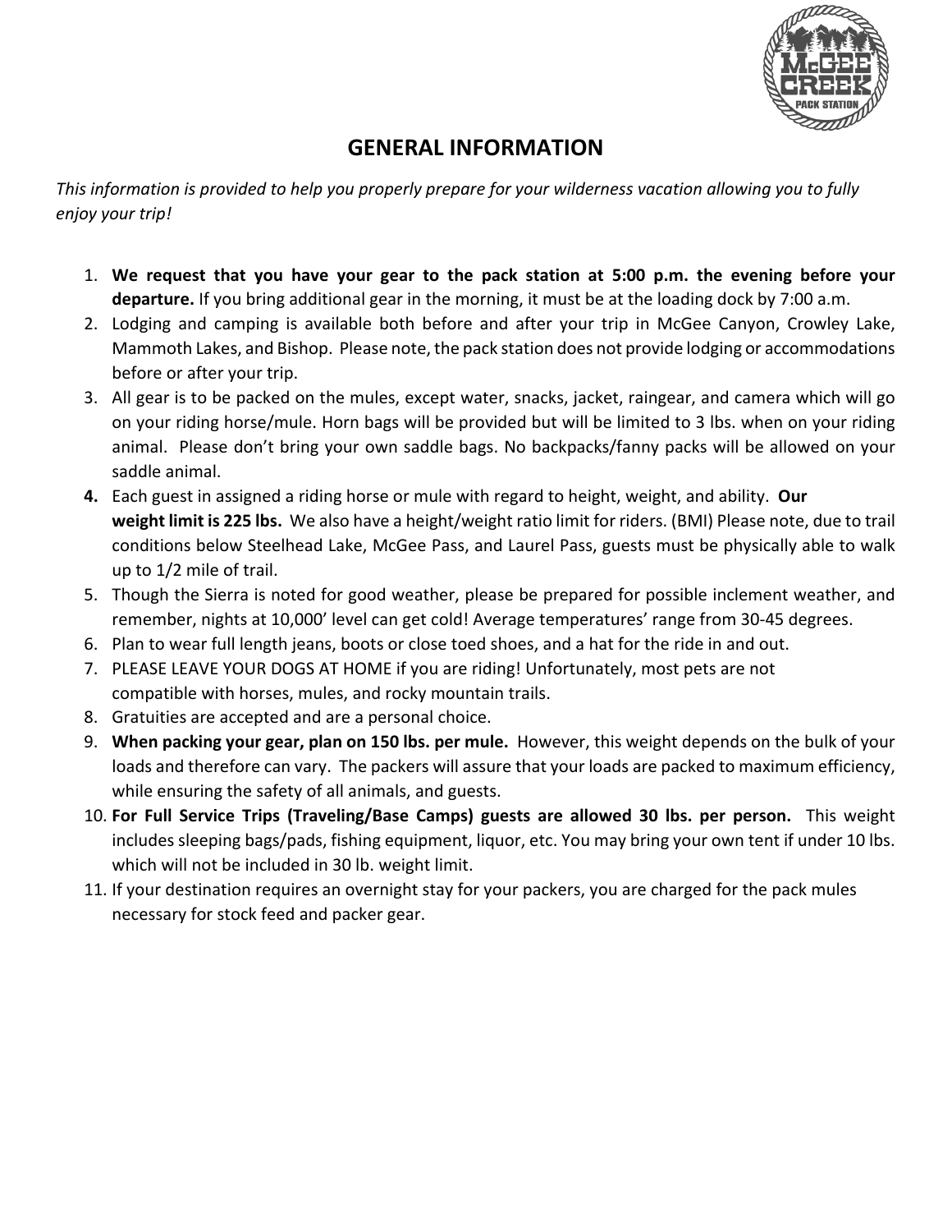

# **GENERAL INFORMATION**

*This information is provided to help you properly prepare for your wilderness vacation allowing you to fully enjoy your trip!*

- 1. **We request that you have your gear to the pack station at 5:00 p.m. the evening before your departure.** If you bring additional gear in the morning, it must be at the loading dock by 7:00 a.m.
- 2. Lodging and camping is available both before and after your trip in McGee Canyon, Crowley Lake, Mammoth Lakes, and Bishop. Please note, the pack station does not provide lodging or accommodations before or after your trip.
- 3. All gear is to be packed on the mules, except water, snacks, jacket, raingear, and camera which will go on your riding horse/mule. Horn bags will be provided but will be limited to 3 lbs. when on your riding animal. Please don't bring your own saddle bags. No backpacks/fanny packs will be allowed on your saddle animal.
- **4.** Each guest in assigned a riding horse or mule with regard to height, weight, and ability. **Our weight limit is 225 lbs.** We also have a height/weight ratio limit for riders. (BMI) Please note, due to trail conditions below Steelhead Lake, McGee Pass, and Laurel Pass, guests must be physically able to walk up to 1/2 mile of trail.
- 5. Though the Sierra is noted for good weather, please be prepared for possible inclement weather, and remember, nights at 10,000' level can get cold! Average temperatures' range from 30-45 degrees.
- 6. Plan to wear full length jeans, boots or close toed shoes, and a hat for the ride in and out.
- 7. PLEASE LEAVE YOUR DOGS AT HOME if you are riding! Unfortunately, most pets are not compatible with horses, mules, and rocky mountain trails.
- 8. Gratuities are accepted and are a personal choice.
- 9. **When packing your gear, plan on 150 lbs. per mule.** However, this weight depends on the bulk of your loads and therefore can vary. The packers will assure that your loads are packed to maximum efficiency, while ensuring the safety of all animals, and guests.
- 10. **For Full Service Trips (Traveling/Base Camps) guests are allowed 30 lbs. per person.** This weight includes sleeping bags/pads, fishing equipment, liquor, etc. You may bring your own tent if under 10 lbs. which will not be included in 30 lb. weight limit.
- 11. If your destination requires an overnight stay for your packers, you are charged for the pack mules necessary for stock feed and packer gear.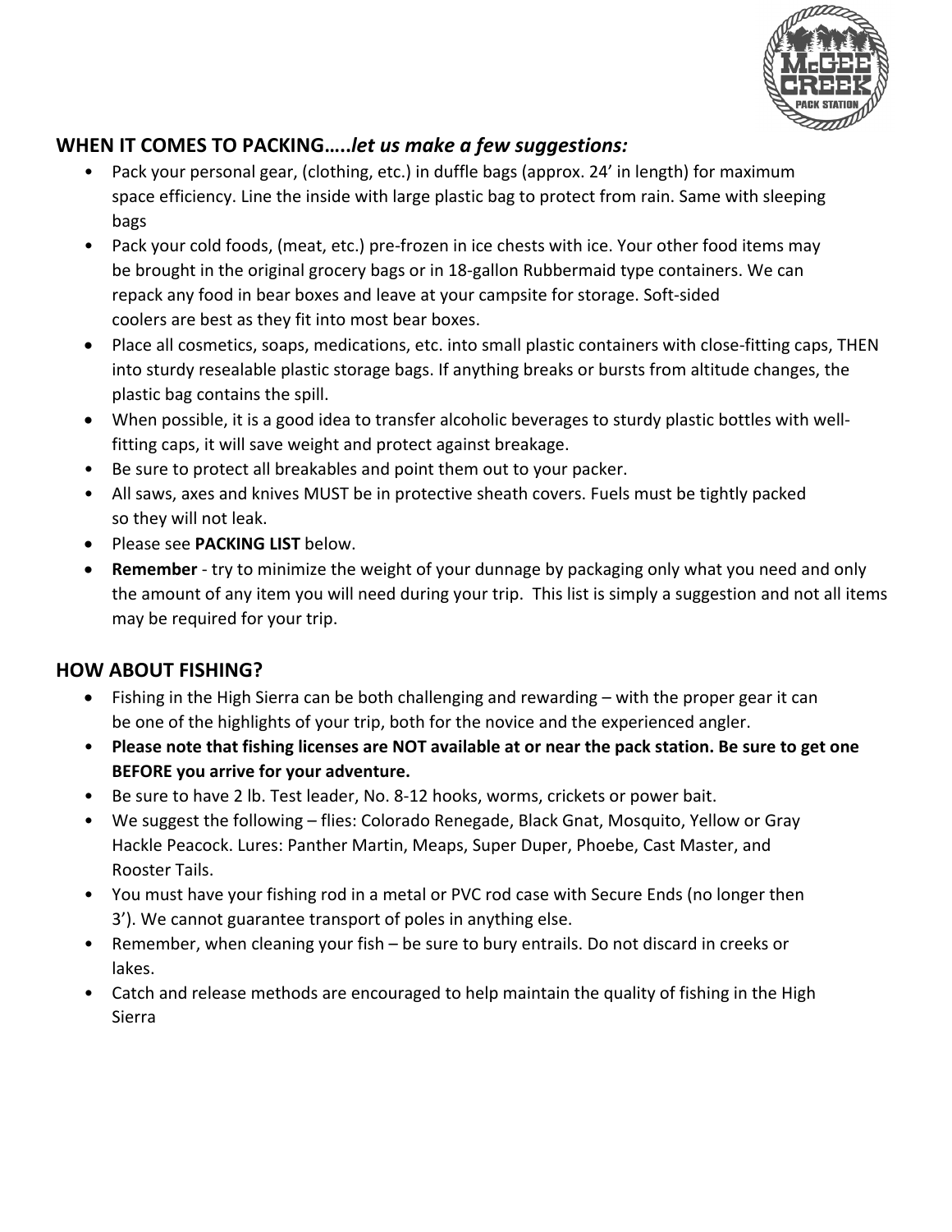

### **WHEN IT COMES TO PACKING…..***let us make a few suggestions:*

- Pack your personal gear, (clothing, etc.) in duffle bags (approx. 24' in length) for maximum space efficiency. Line the inside with large plastic bag to protect from rain. Same with sleeping bags
- Pack your cold foods, (meat, etc.) pre-frozen in ice chests with ice. Your other food items may be brought in the original grocery bags or in 18-gallon Rubbermaid type containers. We can repack any food in bear boxes and leave at your campsite for storage. Soft-sided coolers are best as they fit into most bear boxes.
- Place all cosmetics, soaps, medications, etc. into small plastic containers with close-fitting caps, THEN into sturdy resealable plastic storage bags. If anything breaks or bursts from altitude changes, the plastic bag contains the spill.
- When possible, it is a good idea to transfer alcoholic beverages to sturdy plastic bottles with wellfitting caps, it will save weight and protect against breakage.
- Be sure to protect all breakables and point them out to your packer.
- All saws, axes and knives MUST be in protective sheath covers. Fuels must be tightly packed so they will not leak.
- Please see **PACKING LIST** below.
- **Remember** try to minimize the weight of your dunnage by packaging only what you need and only the amount of any item you will need during your trip. This list is simply a suggestion and not all items may be required for your trip.

## **HOW ABOUT FISHING?**

- Fishing in the High Sierra can be both challenging and rewarding with the proper gear it can be one of the highlights of your trip, both for the novice and the experienced angler.
- **Please note that fishing licenses are NOT available at or near the pack station. Be sure to get one BEFORE you arrive for your adventure.**
- Be sure to have 2 lb. Test leader, No. 8-12 hooks, worms, crickets or power bait.
- We suggest the following flies: Colorado Renegade, Black Gnat, Mosquito, Yellow or Gray Hackle Peacock. Lures: Panther Martin, Meaps, Super Duper, Phoebe, Cast Master, and Rooster Tails.
- You must have your fishing rod in a metal or PVC rod case with Secure Ends (no longer then 3'). We cannot guarantee transport of poles in anything else.
- Remember, when cleaning your fish be sure to bury entrails. Do not discard in creeks or lakes.
- Catch and release methods are encouraged to help maintain the quality of fishing in the High Sierra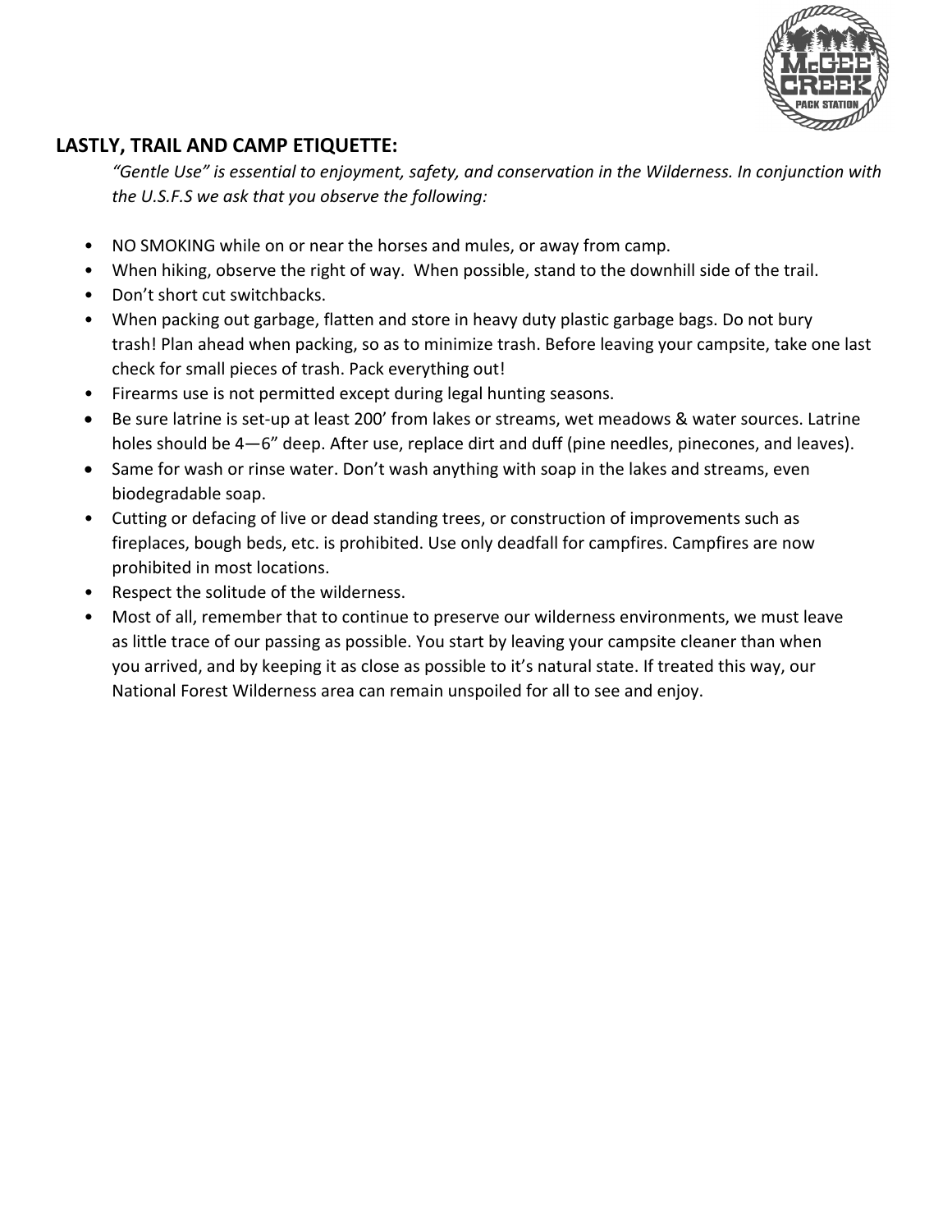

# **LASTLY, TRAIL AND CAMP ETIQUETTE:**

*"Gentle Use" is essential to enjoyment, safety, and conservation in the Wilderness. In conjunction with the U.S.F.S we ask that you observe the following:*

- NO SMOKING while on or near the horses and mules, or away from camp.
- When hiking, observe the right of way. When possible, stand to the downhill side of the trail.
- Don't short cut switchbacks.
- When packing out garbage, flatten and store in heavy duty plastic garbage bags. Do not bury trash! Plan ahead when packing, so as to minimize trash. Before leaving your campsite, take one last check for small pieces of trash. Pack everything out!
- Firearms use is not permitted except during legal hunting seasons.
- Be sure latrine is set-up at least 200' from lakes or streams, wet meadows & water sources. Latrine holes should be 4—6" deep. After use, replace dirt and duff (pine needles, pinecones, and leaves).
- Same for wash or rinse water. Don't wash anything with soap in the lakes and streams, even biodegradable soap.
- Cutting or defacing of live or dead standing trees, or construction of improvements such as fireplaces, bough beds, etc. is prohibited. Use only deadfall for campfires. Campfires are now prohibited in most locations.
- Respect the solitude of the wilderness.
- Most of all, remember that to continue to preserve our wilderness environments, we must leave as little trace of our passing as possible. You start by leaving your campsite cleaner than when you arrived, and by keeping it as close as possible to it's natural state. If treated this way, our National Forest Wilderness area can remain unspoiled for all to see and enjoy.